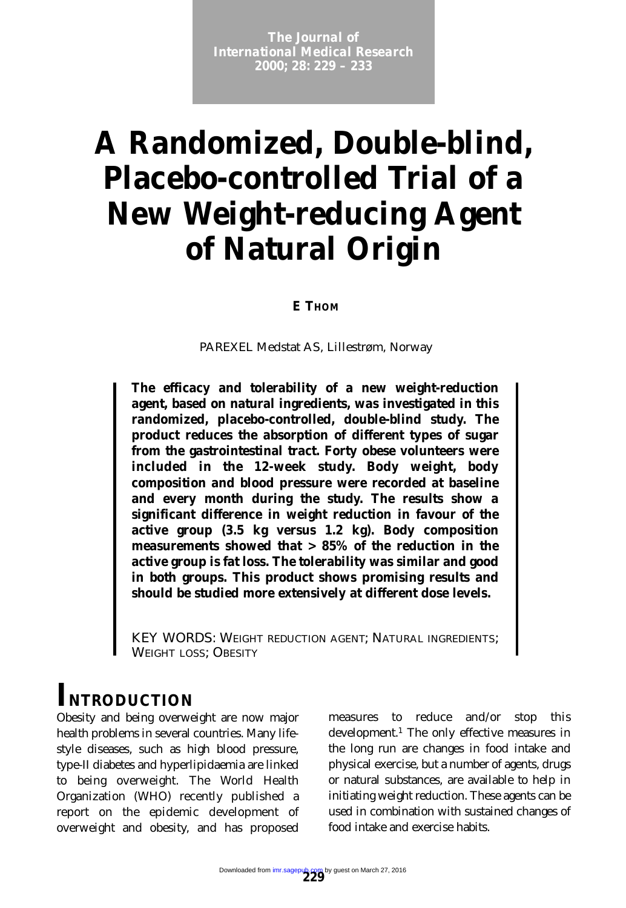**The Journal of Example 2000; 28: 229 – 233** *International Medical Research*

# **A Randomized, Double-blind, Placebo-controlled Trial of a New Weight-reducing Agent of Natural Origin**

#### *E THOM*

PAREXEL Medstat AS, Lillestrøm, Norway

**The efficacy and tolerability of a new weight-reduction agent, based on natural ingredients, was investigated in this randomized, placebo-controlled, double-blind study. The product reduces the absorption of different types of sugar from the gastrointestinal tract. Forty obese volunteers were included in the 12-week study. Body weight, body composition and blood pressure were recorded at baseline and every month during the study. The results show a significant difference in weight reduction in favour of the active group (3.5 kg versus 1.2 kg). Body composition measurements showed that > 85% of the reduction in the active group is fat loss. The tolerability was similar and good in both groups. This product shows promising results and should be studied more extensively at different dose levels.**

KEY WORDS: WEIGHT REDUCTION AGENT; NATURAL INGREDIENTS; WEIGHT LOSS; OBESITY

## *INTRODUCTION*

Obesity and being overweight are now major health problems in several countries. Many lifestyle diseases, such as high blood pressure, type-II diabetes and hyperlipidaemia are linked to being overweight. The World Health Organization (WHO) recently published a report on the epidemic development of overweight and obesity, and has proposed measures to reduce and/or stop this development.1 The only effective measures in the long run are changes in food intake and physical exercise, but a number of agents, drugs or natural substances, are available to help in initiating weight reduction. These agents can be used in combination with sustained changes of food intake and exercise habits.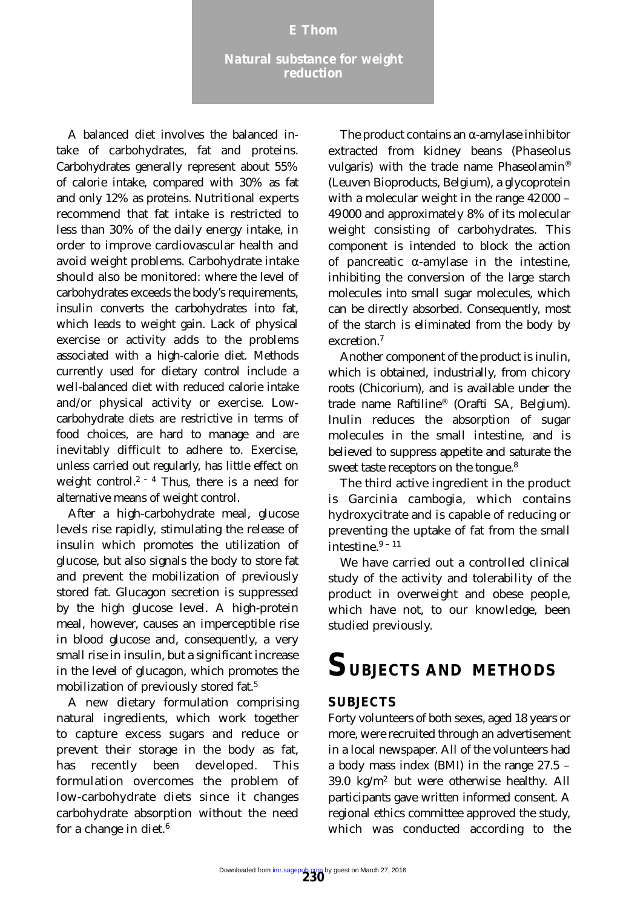#### *M Nomura, S Kida, J Yamashita E* Thom

A balanced diet involves the balanced intake of carbohydrates, fat and proteins. Carbohydrates generally represent about 55% of calorie intake, compared with 30% as fat and only 12% as proteins. Nutritional experts recommend that fat intake is restricted to less than 30% of the daily energy intake, in order to improve cardiovascular health and avoid weight problems. Carbohydrate intake should also be monitored: where the level of carbohydrates exceeds the body's requirements, insulin converts the carbohydrates into fat, which leads to weight gain. Lack of physical exercise or activity adds to the problems associated with a high-calorie diet. Methods currently used for dietary control include a well-balanced diet with reduced calorie intake and/or physical activity or exercise. Lowcarbohydrate diets are restrictive in terms of food choices, are hard to manage and are inevitably difficult to adhere to. Exercise, unless carried out regularly, has little effect on weight control.<sup>2 – 4</sup> Thus, there is a need for alternative means of weight control.

After a high-carbohydrate meal, glucose levels rise rapidly, stimulating the release of insulin which promotes the utilization of glucose, but also signals the body to store fat and prevent the mobilization of previously stored fat. Glucagon secretion is suppressed by the high glucose level. A high-protein meal, however, causes an imperceptible rise in blood glucose and, consequently, a very small rise in insulin, but a significant increase in the level of glucagon, which promotes the mobilization of previously stored fat.5

A new dietary formulation comprising natural ingredients, which work together to capture excess sugars and reduce or prevent their storage in the body as fat, has recently been developed. This formulation overcomes the problem of low-carbohydrate diets since it changes carbohydrate absorption without the need for a change in diet. $6$ 

The product contains an α-amylase inhibitor extracted from kidney beans (*Phaseolus vulgaris*) with the trade name Phaseolamin® (Leuven Bioproducts, Belgium), a glycoprotein with a molecular weight in the range 42000 – 49000 and approximately 8% of its molecular weight consisting of carbohydrates. This component is intended to block the action of pancreatic  $\alpha$ -amylase in the intestine, inhibiting the conversion of the large starch molecules into small sugar molecules, which can be directly absorbed. Consequently, most of the starch is eliminated from the body by excretion<sup>7</sup>

Another component of the product is inulin, which is obtained, industrially, from chicory roots (*Chicorium*), and is available under the trade name Raftiline® (Orafti SA, Belgium). Inulin reduces the absorption of sugar molecules in the small intestine, and is believed to suppress appetite and saturate the sweet taste receptors on the tongue.8

The third active ingredient in the product is *Garcinia cambogia*, which contains hydroxycitrate and is capable of reducing or preventing the uptake of fat from the small intestine  $9 - 11$ 

We have carried out a controlled clinical study of the activity and tolerability of the product in overweight and obese people, which have not, to our knowledge, been studied previously.

## *SUBJECTS AND METHODS*

#### *SUBJECTS*

Forty volunteers of both sexes, aged 18 years or more, were recruited through an advertisement in a local newspaper. All of the volunteers had a body mass index (BMI) in the range 27.5 – 39.0 kg/m2 but were otherwise healthy. All participants gave written informed consent. A regional ethics committee approved the study, which was conducted according to the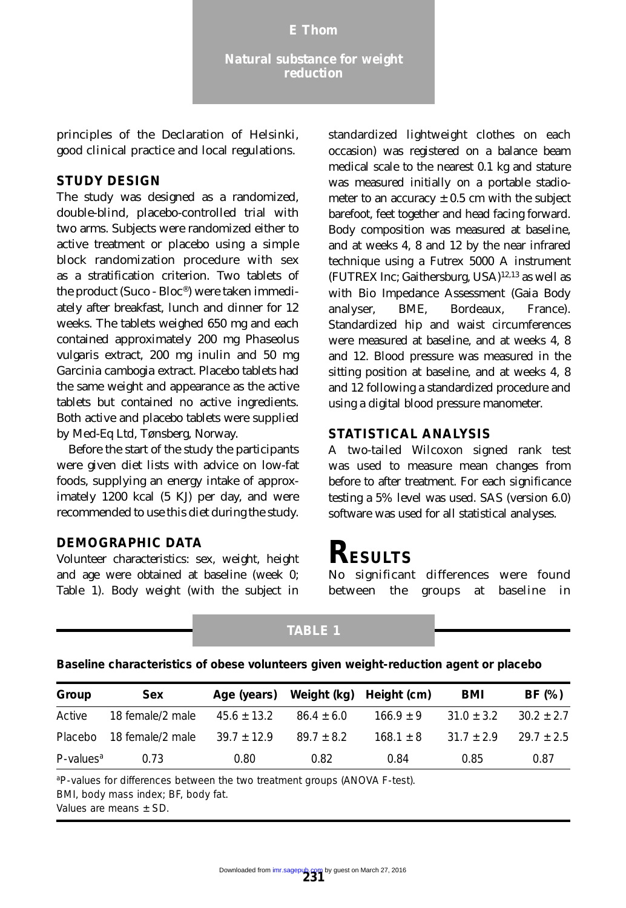principles of the Declaration of Helsinki, good clinical practice and local regulations.

#### *STUDY DESIGN*

The study was designed as a randomized, double-blind, placebo-controlled trial with two arms. Subjects were randomized either to active treatment or placebo using a simple block randomization procedure with sex as a stratification criterion. Two tablets of the product (Suco - Bloc®) were taken immediately after breakfast, lunch and dinner for 12 weeks. The tablets weighed 650 mg and each contained approximately 200 mg *Phaseolus vulgaris* extract, 200 mg inulin and 50 mg *Garcinia cambogia* extract. Placebo tablets had the same weight and appearance as the active tablets but contained no active ingredients. Both active and placebo tablets were supplied by Med-Eq Ltd, Tønsberg, Norway.

Before the start of the study the participants were given diet lists with advice on low-fat foods, supplying an energy intake of approximately 1200 kcal (5 KJ) per day, and were recommended to use this diet during the study.

#### *DEMOGRAPHIC DATA*

Volunteer characteristics: sex, weight, height and age were obtained at baseline (week 0; Table 1). Body weight (with the subject in standardized lightweight clothes on each occasion) was registered on a balance beam medical scale to the nearest 0.1 kg and stature was measured initially on a portable stadiometer to an accuracy  $\pm$  0.5 cm with the subject barefoot, feet together and head facing forward. Body composition was measured at baseline, and at weeks 4, 8 and 12 by the near infrared technique using a Futrex 5000 A instrument (FUTREX Inc; Gaithersburg, USA) $12,13$  as well as with Bio Impedance Assessment (Gaia Body analyser, BME, Bordeaux, France). Standardized hip and waist circumferences were measured at baseline, and at weeks 4, 8 and 12. Blood pressure was measured in the sitting position at baseline, and at weeks 4, 8 and 12 following a standardized procedure and using a digital blood pressure manometer.

#### *STATISTICAL ANALYSIS*

A two-tailed Wilcoxon signed rank test was used to measure mean changes from before to after treatment. For each significance testing a 5% level was used. SAS (version 6.0) software was used for all statistical analyses.

### *RESULTS*

No significant differences were found between the groups at baseline in

#### **TABLE 1**

| Baseline characteristics of obese volunteers given weight-reduction agent or placebo |  |  |  |  |
|--------------------------------------------------------------------------------------|--|--|--|--|
|                                                                                      |  |  |  |  |

| Group                    | <b>Sex</b>       | Age (years)     |                | Weight (kg) Height (cm) | <b>BMI</b>     | BF (%)         |
|--------------------------|------------------|-----------------|----------------|-------------------------|----------------|----------------|
| Active                   | 18 female/2 male | $45.6 \pm 13.2$ | $86.4 \pm 6.0$ | $166.9 + 9$             | $31.0 \pm 3.2$ | $30.2 \pm 2.7$ |
| Placebo                  | 18 female/2 male | $39.7 \pm 12.9$ | $89.7 + 8.2$   | $168.1 \pm 8$           | $31.7 + 2.9$   | $29.7 \pm 2.5$ |
| $P$ -values <sup>a</sup> | 0.73             | 0.80            | 0.82           | 0.84                    | 0.85           | 0.87           |

<sup>a</sup>P-values for differences between the two treatment groups (ANOVA F-test). BMI, body mass index; BF, body fat.

Values are means ± SD.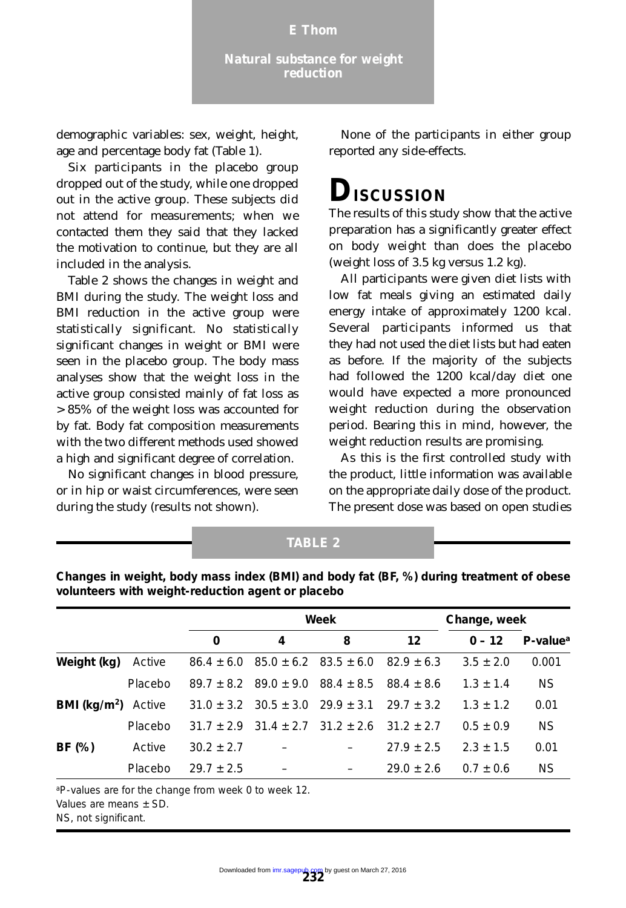demographic variables: sex, weight, height, age and percentage body fat (Table 1).

Six participants in the placebo group dropped out of the study, while one dropped out in the active group. These subjects did not attend for measurements; when we contacted them they said that they lacked the motivation to continue, but they are all included in the analysis.

Table 2 shows the changes in weight and BMI during the study. The weight loss and BMI reduction in the active group were statistically significant. No statistically significant changes in weight or BMI were seen in the placebo group. The body mass analyses show that the weight loss in the active group consisted mainly of fat loss as > 85% of the weight loss was accounted for by fat. Body fat composition measurements with the two different methods used showed a high and significant degree of correlation.

No significant changes in blood pressure, or in hip or waist circumferences, were seen during the study (results not shown).

None of the participants in either group reported any side-effects.

## *DISCUSSION*

The results of this study show that the active preparation has a significantly greater effect on body weight than does the placebo (weight loss of 3.5 kg versus 1.2 kg).

All participants were given diet lists with low fat meals giving an estimated daily energy intake of approximately 1200 kcal. Several participants informed us that they had not used the diet lists but had eaten as before. If the majority of the subjects had followed the 1200 kcal/day diet one would have expected a more pronounced weight reduction during the observation period. Bearing this in mind, however, the weight reduction results are promising.

As this is the first controlled study with the product, little information was available on the appropriate daily dose of the product. The present dose was based on open studies

| Changes in weight, body mass index (BMI) and body fat (BF, %) during treatment of obese<br>volunteers with weight-reduction agent or placebo |         |                |                                        |                               |                |               |                         |  |
|----------------------------------------------------------------------------------------------------------------------------------------------|---------|----------------|----------------------------------------|-------------------------------|----------------|---------------|-------------------------|--|
|                                                                                                                                              |         | Week           |                                        |                               |                | Change, week  |                         |  |
|                                                                                                                                              |         | 0              | 4                                      | 8                             | 12             | $0 - 12$      | $P$ -value <sup>a</sup> |  |
| Weight (kg)                                                                                                                                  | Active  | $86.4 \pm 6.0$ |                                        | $85.0 \pm 6.2$ $83.5 \pm 6.0$ | $82.9 + 6.3$   | $3.5 \pm 2.0$ | 0.001                   |  |
|                                                                                                                                              | Placebo |                | $89.7 + 8.2$ $89.0 + 9.0$ $88.4 + 8.5$ |                               | $88.4 + 8.6$   | $1.3 + 1.4$   | <b>NS</b>               |  |
| BMI (kg/m <sup>2</sup> )                                                                                                                     | Active  | $31.0 + 3.2$   | $30.5 \pm 3.0$ $29.9 \pm 3.1$          |                               | $29.7 + 3.2$   | $1.3 + 1.2$   | 0.01                    |  |
|                                                                                                                                              | Placebo | $31.7 + 2.9$   | $31.4 + 2.7$ $31.2 + 2.6$              |                               | $31.2 + 2.7$   | $0.5 + 0.9$   | <b>NS</b>               |  |
| BF (%)                                                                                                                                       | Active  | $30.2 \pm 2.7$ |                                        |                               | $27.9 \pm 2.5$ | $2.3 \pm 1.5$ | 0.01                    |  |
|                                                                                                                                              | Placebo | $29.7 + 2.5$   |                                        |                               | $29.0 + 2.6$   | $0.7 + 0.6$   | <b>NS</b>               |  |

**TABLE 2**

<sup>a</sup>*P*-values are for the change from week 0 to week 12.

Values are means  $\pm$  SD.

NS, not significant.